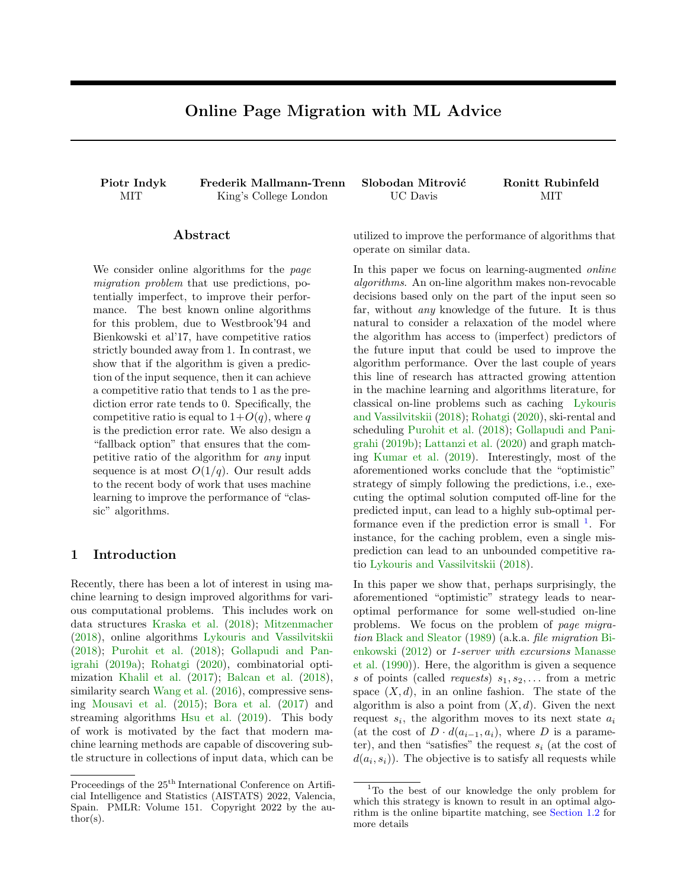# Online Page Migration with ML Advice

<span id="page-0-1"></span>Piotr Indyk Frederik Mallmann-Trenn Slobodan Mitrović Ronitt Rubinfeld MIT King's College London UC Davis MIT

### Abstract

We consider online algorithms for the page migration problem that use predictions, potentially imperfect, to improve their performance. The best known online algorithms for this problem, due to Westbrook'94 and Bienkowski et al'17, have competitive ratios strictly bounded away from 1. In contrast, we show that if the algorithm is given a prediction of the input sequence, then it can achieve a competitive ratio that tends to 1 as the prediction error rate tends to 0. Specifically, the competitive ratio is equal to  $1+O(q)$ , where q is the prediction error rate. We also design a "fallback option" that ensures that the competitive ratio of the algorithm for any input sequence is at most  $O(1/q)$ . Our result adds to the recent body of work that uses machine learning to improve the performance of "classic" algorithms.

# 1 Introduction

Recently, there has been a lot of interest in using machine learning to design improved algorithms for various computational problems. This includes work on data structures [Kraska et al.](#page-8-0) [\(2018\)](#page-8-0); [Mitzenmacher](#page-9-0) [\(2018\)](#page-9-0), online algorithms [Lykouris and Vassilvitskii](#page-9-1) [\(2018\)](#page-9-1); [Purohit et al.](#page-9-2) [\(2018\)](#page-9-2); [Gollapudi and Pan](#page-8-1)[igrahi](#page-8-1) [\(2019a\)](#page-8-1); [Rohatgi](#page-9-3) [\(2020\)](#page-9-3), combinatorial optimization [Khalil et al.](#page-8-2) [\(2017\)](#page-8-2); [Balcan et al.](#page-8-3) [\(2018\)](#page-8-3), similarity search [Wang et al.](#page-9-4)  $(2016)$ , compressive sensing [Mousavi et al.](#page-9-5) [\(2015\)](#page-9-5); [Bora et al.](#page-8-4) [\(2017\)](#page-8-4) and streaming algorithms [Hsu et al.](#page-8-5) [\(2019\)](#page-8-5). This body of work is motivated by the fact that modern machine learning methods are capable of discovering subtle structure in collections of input data, which can be utilized to improve the performance of algorithms that operate on similar data.

In this paper we focus on learning-augmented online algorithms. An on-line algorithm makes non-revocable decisions based only on the part of the input seen so far, without any knowledge of the future. It is thus natural to consider a relaxation of the model where the algorithm has access to (imperfect) predictors of the future input that could be used to improve the algorithm performance. Over the last couple of years this line of research has attracted growing attention in the machine learning and algorithms literature, for classical on-line problems such as caching [Lykouris](#page-9-1) [and Vassilvitskii](#page-9-1) [\(2018\)](#page-9-1); [Rohatgi](#page-9-3) [\(2020\)](#page-9-3), ski-rental and scheduling [Purohit et al.](#page-9-2) [\(2018\)](#page-9-2); [Gollapudi and Pani](#page-8-6)[grahi](#page-8-6) [\(2019b\)](#page-8-6); [Lattanzi et al.](#page-9-6) [\(2020\)](#page-9-6) and graph matching [Kumar et al.](#page-9-7) [\(2019\)](#page-9-7). Interestingly, most of the aforementioned works conclude that the "optimistic" strategy of simply following the predictions, i.e., executing the optimal solution computed off-line for the predicted input, can lead to a highly sub-optimal performance even if the prediction error is small  $<sup>1</sup>$  $<sup>1</sup>$  $<sup>1</sup>$ . For</sup> instance, for the caching problem, even a single misprediction can lead to an unbounded competitive ratio [Lykouris and Vassilvitskii](#page-9-1) [\(2018\)](#page-9-1).

In this paper we show that, perhaps surprisingly, the aforementioned "optimistic" strategy leads to nearoptimal performance for some well-studied on-line problems. We focus on the problem of page migration [Black and Sleator](#page-8-7) [\(1989\)](#page-8-7) (a.k.a. file migration [Bi](#page-8-8)[enkowski](#page-8-8) [\(2012\)](#page-8-8) or 1-server with excursions [Manasse](#page-9-8) [et al.](#page-9-8) [\(1990\)](#page-9-8)). Here, the algorithm is given a sequence s of points (called *requests*)  $s_1, s_2, \ldots$  from a metric space  $(X, d)$ , in an online fashion. The state of the algorithm is also a point from  $(X, d)$ . Given the next request  $s_i$ , the algorithm moves to its next state  $a_i$ (at the cost of  $D \cdot d(a_{i-1}, a_i)$ , where D is a parameter), and then "satisfies" the request  $s_i$  (at the cost of  $d(a_i, s_i)$ . The objective is to satisfy all requests while

Proceedings of the  $25^{\text{th}}$  International Conference on Artificial Intelligence and Statistics (AISTATS) 2022, Valencia, Spain. PMLR: Volume 151. Copyright 2022 by the au- $\text{thor}(s)$ .

<span id="page-0-0"></span><sup>&</sup>lt;sup>1</sup>To the best of our knowledge the only problem for which this strategy is known to result in an optimal algorithm is the online bipartite matching, see [Section 1.2](#page-1-0) for more details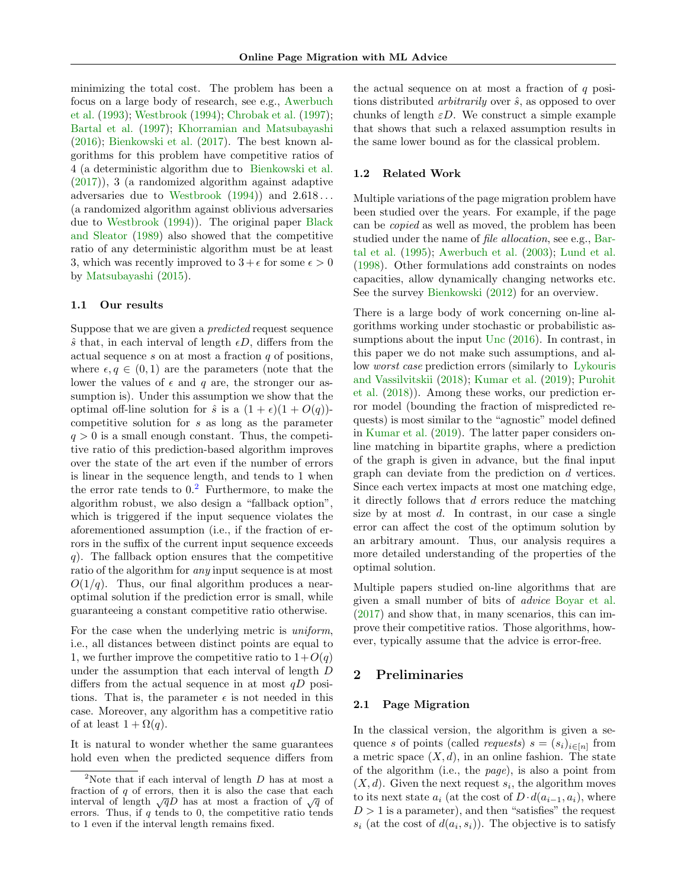minimizing the total cost. The problem has been a focus on a large body of research, see e.g., [Awerbuch](#page-8-9) [et al.](#page-8-9) [\(1993\)](#page-8-9); [Westbrook](#page-9-9) [\(1994\)](#page-9-9); [Chrobak et al.](#page-8-10) [\(1997\)](#page-8-10); [Bartal et al.](#page-8-11) [\(1997\)](#page-8-11); [Khorramian and Matsubayashi](#page-8-12) [\(2016\)](#page-8-12); [Bienkowski et al.](#page-8-13) [\(2017\)](#page-8-13). The best known algorithms for this problem have competitive ratios of 4 (a deterministic algorithm due to [Bienkowski et al.](#page-8-13) [\(2017\)](#page-8-13)), 3 (a randomized algorithm against adaptive adversaries due to [Westbrook](#page-9-9)  $(1994)$  and  $2.618...$ (a randomized algorithm against oblivious adversaries due to [Westbrook](#page-9-9) [\(1994\)](#page-9-9)). The original paper [Black](#page-8-7) [and Sleator](#page-8-7) [\(1989\)](#page-8-7) also showed that the competitive ratio of any deterministic algorithm must be at least 3, which was recently improved to  $3 + \epsilon$  for some  $\epsilon > 0$ by [Matsubayashi](#page-9-10) [\(2015\)](#page-9-10).

### 1.1 Our results

Suppose that we are given a predicted request sequence  $\hat{s}$  that, in each interval of length  $\epsilon D$ , differs from the actual sequence  $s$  on at most a fraction  $q$  of positions, where  $\epsilon, q \in (0, 1)$  are the parameters (note that the lower the values of  $\epsilon$  and q are, the stronger our assumption is). Under this assumption we show that the optimal off-line solution for  $\hat{s}$  is a  $(1 + \epsilon)(1 + O(q))$ competitive solution for s as long as the parameter  $q > 0$  is a small enough constant. Thus, the competitive ratio of this prediction-based algorithm improves over the state of the art even if the number of errors is linear in the sequence length, and tends to 1 when the error rate tends to  $0<sup>2</sup>$  $0<sup>2</sup>$  $0<sup>2</sup>$  Furthermore, to make the algorithm robust, we also design a "fallback option", which is triggered if the input sequence violates the aforementioned assumption (i.e., if the fraction of errors in the suffix of the current input sequence exceeds  $q$ ). The fallback option ensures that the competitive ratio of the algorithm for *any* input sequence is at most  $O(1/q)$ . Thus, our final algorithm produces a nearoptimal solution if the prediction error is small, while guaranteeing a constant competitive ratio otherwise.

For the case when the underlying metric is uniform, i.e., all distances between distinct points are equal to 1, we further improve the competitive ratio to  $1+O(q)$ under the assumption that each interval of length D differs from the actual sequence in at most  $qD$  positions. That is, the parameter  $\epsilon$  is not needed in this case. Moreover, any algorithm has a competitive ratio of at least  $1 + \Omega(q)$ .

It is natural to wonder whether the same guarantees hold even when the predicted sequence differs from the actual sequence on at most a fraction of  $q$  positions distributed *arbitrarily* over  $\hat{s}$ , as opposed to over chunks of length  $\varepsilon D$ . We construct a simple example that shows that such a relaxed assumption results in the same lower bound as for the classical problem.

### <span id="page-1-0"></span>1.2 Related Work

Multiple variations of the page migration problem have been studied over the years. For example, if the page can be copied as well as moved, the problem has been studied under the name of file allocation, see e.g., [Bar](#page-8-14)[tal et al.](#page-8-14) [\(1995\)](#page-8-14); [Awerbuch et al.](#page-8-15) [\(2003\)](#page-8-15); [Lund et al.](#page-9-11) [\(1998\)](#page-9-11). Other formulations add constraints on nodes capacities, allow dynamically changing networks etc. See the survey [Bienkowski](#page-8-8) [\(2012\)](#page-8-8) for an overview.

There is a large body of work concerning on-line algorithms working under stochastic or probabilistic assumptions about the input [Unc](#page-8-16) [\(2016\)](#page-8-16). In contrast, in this paper we do not make such assumptions, and allow worst case prediction errors (similarly to [Lykouris](#page-9-1) [and Vassilvitskii](#page-9-1) [\(2018\)](#page-9-1); [Kumar et al.](#page-9-7) [\(2019\)](#page-9-7); [Purohit](#page-9-2) [et al.](#page-9-2) [\(2018\)](#page-9-2)). Among these works, our prediction error model (bounding the fraction of mispredicted requests) is most similar to the "agnostic" model defined in [Kumar et al.](#page-9-7) [\(2019\)](#page-9-7). The latter paper considers online matching in bipartite graphs, where a prediction of the graph is given in advance, but the final input graph can deviate from the prediction on d vertices. Since each vertex impacts at most one matching edge, it directly follows that  $d$  errors reduce the matching size by at most  $d$ . In contrast, in our case a single error can affect the cost of the optimum solution by an arbitrary amount. Thus, our analysis requires a more detailed understanding of the properties of the optimal solution.

Multiple papers studied on-line algorithms that are given a small number of bits of advice [Boyar et al.](#page-8-17) [\(2017\)](#page-8-17) and show that, in many scenarios, this can improve their competitive ratios. Those algorithms, however, typically assume that the advice is error-free.

# <span id="page-1-2"></span>2 Preliminaries

### 2.1 Page Migration

In the classical version, the algorithm is given a sequence s of points (called *requests*)  $s = (s_i)_{i \in [n]}$  from a metric space  $(X, d)$ , in an online fashion. The state of the algorithm (i.e., the page), is also a point from  $(X, d)$ . Given the next request  $s_i$ , the algorithm moves to its next state  $a_i$  (at the cost of  $D \cdot d(a_{i-1}, a_i)$ , where  $D > 1$  is a parameter), and then "satisfies" the request  $s_i$  (at the cost of  $d(a_i, s_i)$ ). The objective is to satisfy

<span id="page-1-1"></span><sup>&</sup>lt;sup>2</sup>Note that if each interval of length  $D$  has at most a fraction of  $q$  of errors, then it is also the case that each interval of length  $\sqrt{q}D$  has at most a fraction of  $\sqrt{q}$  of errors. Thus, if  $q$  tends to  $0$ , the competitive ratio tends to 1 even if the interval length remains fixed.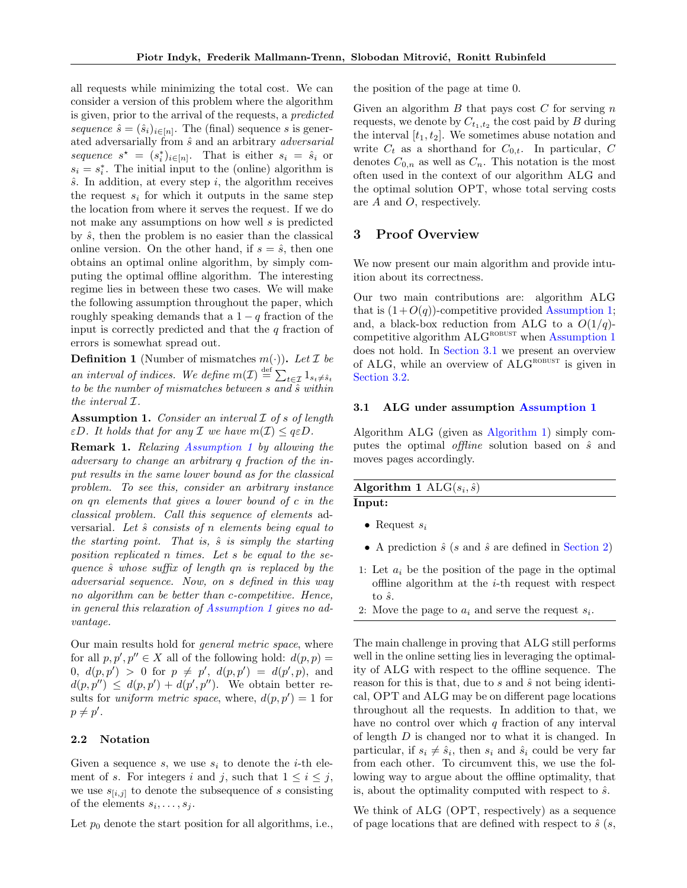all requests while minimizing the total cost. We can consider a version of this problem where the algorithm is given, prior to the arrival of the requests, a predicted sequence  $\hat{s} = (\hat{s}_i)_{i \in [n]}$ . The (final) sequence s is generated adversarially from  $\hat{s}$  and an arbitrary *adversarial* sequence  $s^* = (s_i^*)_{i \in [n]}$ . That is either  $s_i = \hat{s}_i$  or  $s_i = s_i^*$ . The initial input to the (online) algorithm is  $\hat{s}$ . In addition, at every step  $i$ , the algorithm receives the request  $s_i$  for which it outputs in the same step the location from where it serves the request. If we do not make any assumptions on how well s is predicted by  $\hat{s}$ , then the problem is no easier than the classical online version. On the other hand, if  $s = \hat{s}$ , then one obtains an optimal online algorithm, by simply computing the optimal offline algorithm. The interesting regime lies in between these two cases. We will make the following assumption throughout the paper, which roughly speaking demands that a  $1 - q$  fraction of the input is correctly predicted and that the  $q$  fraction of errors is somewhat spread out.

<span id="page-2-3"></span>**Definition 1** (Number of mismatches  $m(\cdot)$ ). Let  $\mathcal I$  be an interval of indices. We define  $m(\mathcal{I}) \stackrel{\text{def}}{=} \sum_{t \in \mathcal{I}} 1_{s_t \neq \hat{s}_t}$ to be the number of mismatches between  $s$  and  $\hat{s}$  within the interval I.

<span id="page-2-0"></span>**Assumption 1.** Consider an interval  $I$  of  $s$  of length  $\epsilon D$ . It holds that for any  $\mathcal I$  we have  $m(\mathcal I) \leq q \epsilon D$ .

Remark 1. Relaxing [Assumption 1](#page-2-0) by allowing the adversary to change an arbitrary q fraction of the input results in the same lower bound as for the classical problem. To see this, consider an arbitrary instance on qn elements that gives a lower bound of c in the classical problem. Call this sequence of elements adversarial. Let  $\hat{s}$  consists of n elements being equal to the starting point. That is,  $\hat{s}$  is simply the starting position replicated n times. Let s be equal to the sequence  $\hat{s}$  whose suffix of length qn is replaced by the adversarial sequence. Now, on s defined in this way no algorithm can be better than c-competitive. Hence, in general this relaxation of [Assumption 1](#page-2-0) gives no advantage.

Our main results hold for general metric space, where for all  $p, p', p'' \in X$  all of the following hold:  $d(p, p) =$ 0,  $d(p, p') > 0$  for  $p \neq p'$ ,  $d(p, p') = d(p', p)$ , and  $d(p, p'') \leq d(p, p') + d(p', p'')$ . We obtain better results for *uniform metric space*, where,  $d(p, p') = 1$  for  $p \neq p'$ .

## 2.2 Notation

Given a sequence s, we use  $s_i$  to denote the *i*-th element of s. For integers i and j, such that  $1 \leq i \leq j$ , we use  $s_{[i,j]}$  to denote the subsequence of s consisting of the elements  $s_i, \ldots, s_j$ .

Let  $p_0$  denote the start position for all algorithms, i.e.,

the position of the page at time 0.

Given an algorithm  $B$  that pays cost  $C$  for serving  $n$ requests, we denote by  $C_{t_1,t_2}$  the cost paid by B during the interval  $[t_1, t_2]$ . We sometimes abuse notation and write  $C_t$  as a shorthand for  $C_{0,t}$ . In particular, C denotes  $C_{0,n}$  as well as  $C_n$ . This notation is the most often used in the context of our algorithm ALG and the optimal solution OPT, whose total serving costs are A and O, respectively.

# 3 Proof Overview

We now present our main algorithm and provide intuition about its correctness.

Our two main contributions are: algorithm ALG that is  $(1+O(q))$ -competitive provided [Assumption 1;](#page-2-0) and, a black-box reduction from ALG to a  $O(1/q)$ competitive algorithm  $ALG^{ROBUST}$  when [Assumption 1](#page-2-0) does not hold. In [Section 3.1](#page-2-1) we present an overview of ALG, while an overview of  $ALG^{ROBUST}$  is given in [Section 3.2.](#page-3-0)

#### <span id="page-2-1"></span>3.1 ALG under assumption [Assumption 1](#page-2-0)

Algorithm ALG (given as [Algorithm 1\)](#page-2-2) simply computes the optimal *offline* solution based on  $\hat{s}$  and moves pages accordingly.

<span id="page-2-2"></span>Algorithm 1  $\text{ALG}(s_i, \hat{s})$ Input:

- Request  $s_i$
- A prediction  $\hat{s}$  (s and  $\hat{s}$  are defined in [Section 2\)](#page-1-2)
- 1: Let  $a_i$  be the position of the page in the optimal offline algorithm at the  $i$ -th request with respect to  $\hat{s}$ .
- 2: Move the page to  $a_i$  and serve the request  $s_i$ .

The main challenge in proving that ALG still performs well in the online setting lies in leveraging the optimality of ALG with respect to the offline sequence. The reason for this is that, due to  $s$  and  $\hat{s}$  not being identical, OPT and ALG may be on different page locations throughout all the requests. In addition to that, we have no control over which  $q$  fraction of any interval of length D is changed nor to what it is changed. In particular, if  $s_i \neq \hat{s}_i$ , then  $s_i$  and  $\hat{s}_i$  could be very far from each other. To circumvent this, we use the following way to argue about the offline optimality, that is, about the optimality computed with respect to  $\hat{s}$ .

We think of ALG (OPT, respectively) as a sequence of page locations that are defined with respect to  $\hat{s}$  (s,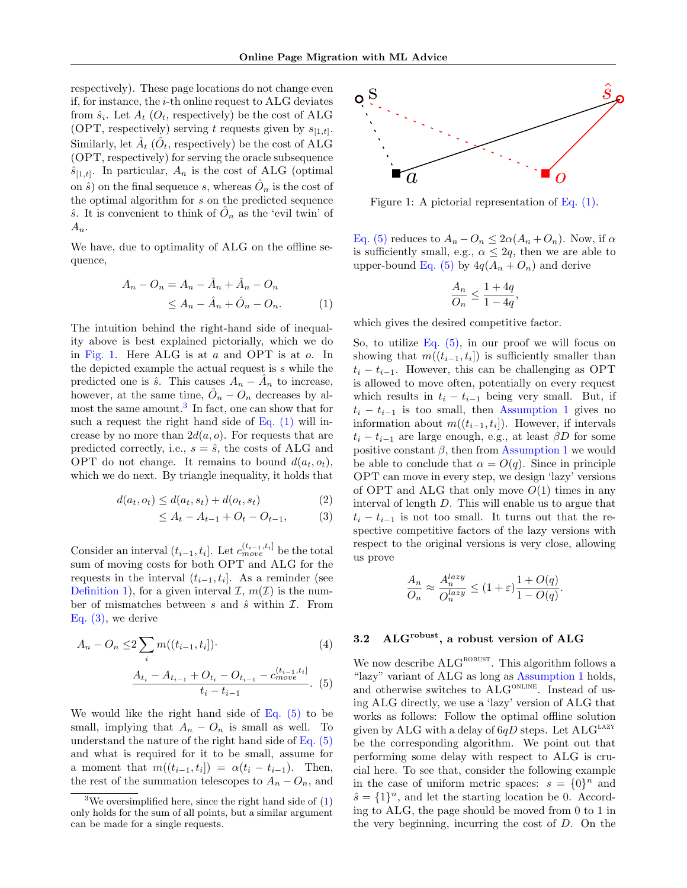respectively). These page locations do not change even if, for instance, the  $i$ -th online request to ALG deviates from  $\hat{s}_i$ . Let  $A_t$  ( $O_t$ , respectively) be the cost of ALG (OPT, respectively) serving t requests given by  $s_{[1,t]}$ . Similarly, let  $\hat{A}_t$  ( $\hat{O}_t$ , respectively) be the cost of ALG (OPT, respectively) for serving the oracle subsequence  $\hat{s}_{[1,t]}$ . In particular,  $A_n$  is the cost of ALG (optimal on  $\hat{s}$ ) on the final sequence s, whereas  $\hat{O}_n$  is the cost of the optimal algorithm for s on the predicted sequence  $\hat{s}$ . It is convenient to think of  $\hat{O}_n$  as the 'evil twin' of  $A_n$ .

We have, due to optimality of ALG on the offline sequence,

$$
A_n - O_n = A_n - \hat{A}_n + \hat{A}_n - O_n
$$
  
\n
$$
\leq A_n - \hat{A}_n + \hat{O}_n - O_n.
$$
 (1)

The intuition behind the right-hand side of inequality above is best explained pictorially, which we do in [Fig. 1.](#page-3-1) Here ALG is at  $a$  and OPT is at  $o$ . In the depicted example the actual request is s while the predicted one is  $\hat{s}$ . This causes  $A_n - \hat{A}_n$  to increase, however, at the same time,  $\hat{O}_n - O_n$  decreases by al-most the same amount.<sup>[3](#page-3-2)</sup> In fact, one can show that for such a request the right hand side of Eq.  $(1)$  will increase by no more than  $2d(a, o)$ . For requests that are predicted correctly, i.e.,  $s = \hat{s}$ , the costs of ALG and OPT do not change. It remains to bound  $d(a_t, o_t)$ , which we do next. By triangle inequality, it holds that

$$
d(a_t, o_t) \le d(a_t, s_t) + d(o_t, s_t)
$$
\n<sup>(2)</sup>

$$
\leq A_t - A_{t-1} + O_t - O_{t-1}, \tag{3}
$$

Consider an interval  $(t_{i-1}, t_i]$ . Let  $c_{move}^{(t_{i-1}, t_i]}$  be the total sum of moving costs for both OPT and ALG for the requests in the interval  $(t_{i-1}, t_i]$ . As a reminder (see [Definition 1\)](#page-2-3), for a given interval  $\mathcal{I}, m(\mathcal{I})$  is the number of mismatches between  $s$  and  $\hat{s}$  within  $\mathcal{I}$ . From [Eq. \(3\),](#page-3-4) we derive

$$
A_n - O_n \le 2 \sum_i m((t_{i-1}, t_i]) \cdot (4)
$$
  

$$
\frac{A_{t_i} - A_{t_{i-1}} + O_{t_i} - O_{t_{i-1}} - c_{move}^{(t_{i-1}, t_i]}}{t_i - t_{i-1}} \cdot (5)
$$

We would like the right hand side of Eq.  $(5)$  to be small, implying that  $A_n - O_n$  is small as well. To understand the nature of the right hand side of  $Eq. (5)$ and what is required for it to be small, assume for a moment that  $m((t_{i-1}, t_i]) = \alpha(t_i - t_{i-1}).$  Then, the rest of the summation telescopes to  $A_n - O_n$ , and

<span id="page-3-1"></span>

Figure 1: A pictorial representation of [Eq. \(1\).](#page-3-3)

[Eq. \(5\)](#page-3-5) reduces to  $A_n - O_n \leq 2\alpha(A_n + O_n)$ . Now, if  $\alpha$ is sufficiently small, e.g.,  $\alpha \leq 2q$ , then we are able to upper-bound [Eq. \(5\)](#page-3-5) by  $4q(A_n + O_n)$  and derive

$$
\frac{A_n}{O_n} \leq \frac{1+4q}{1-4q},
$$

<span id="page-3-3"></span>which gives the desired competitive factor.

So, to utilize Eq.  $(5)$ , in our proof we will focus on showing that  $m((t_{i-1}, t_i])$  is sufficiently smaller than  $t_i - t_{i-1}$ . However, this can be challenging as OPT is allowed to move often, potentially on every request which results in  $t_i - t_{i-1}$  being very small. But, if  $t_i - t_{i-1}$  is too small, then [Assumption 1](#page-2-0) gives no information about  $m((t_{i-1}, t_i])$ . However, if intervals  $t_i - t_{i-1}$  are large enough, e.g., at least  $\beta D$  for some positive constant  $\beta$ , then from [Assumption 1](#page-2-0) we would be able to conclude that  $\alpha = O(q)$ . Since in principle OPT can move in every step, we design 'lazy' versions of OPT and ALG that only move  $O(1)$  times in any interval of length D. This will enable us to argue that  $t_i - t_{i-1}$  is not too small. It turns out that the respective competitive factors of the lazy versions with respect to the original versions is very close, allowing us prove

<span id="page-3-4"></span>
$$
\frac{A_n}{O_n} \approx \frac{A_n^{lazy}}{O_n^{lazy}} \le (1+\varepsilon) \frac{1+O(q)}{1-O(q)}.
$$

# <span id="page-3-0"></span>3.2 ALG<sup>robust</sup>, a robust version of ALG

<span id="page-3-5"></span>We now describe  $ALG^{ROBUST}$ . This algorithm follows a "lazy" variant of ALG as long as [Assumption 1](#page-2-0) holds, and otherwise switches to  $ALG^{ONLINE}$ . Instead of using ALG directly, we use a 'lazy' version of ALG that works as follows: Follow the optimal offline solution given by ALG with a delay of  $6qD$  steps. Let  $ALG<sup>LAZY</sup>$ be the corresponding algorithm. We point out that performing some delay with respect to ALG is crucial here. To see that, consider the following example in the case of uniform metric spaces:  $s = \{0\}^n$  and  $\hat{s} = \{1\}^n$ , and let the starting location be 0. According to ALG, the page should be moved from 0 to 1 in the very beginning, incurring the cost of  $D$ . On the

<span id="page-3-2"></span><sup>&</sup>lt;sup>3</sup>We oversimplified here, since the right hand side of  $(1)$ only holds for the sum of all points, but a similar argument can be made for a single requests.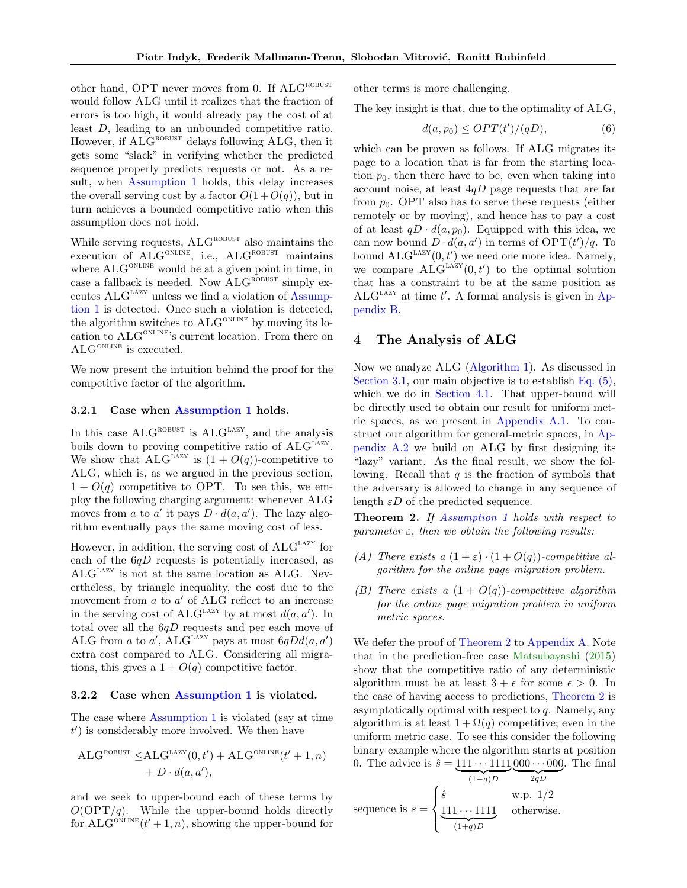other hand, OPT never moves from 0. If ALG<sup>ROBUST</sup> would follow ALG until it realizes that the fraction of errors is too high, it would already pay the cost of at least D, leading to an unbounded competitive ratio. However, if  $ALG^{ROBUST}$  delays following  $ALG$ , then it gets some "slack" in verifying whether the predicted sequence properly predicts requests or not. As a result, when [Assumption 1](#page-2-0) holds, this delay increases the overall serving cost by a factor  $O(1+O(q))$ , but in turn achieves a bounded competitive ratio when this assumption does not hold.

While serving requests,  $ALG<sup>ROBUST</sup>$  also maintains the execution of  $\widehat{\text{ALG}}^{\text{ONLINE}}$ , i.e.,  $\text{ALG}^{\text{ROBUST}}$  maintains where  $ALG^{\text{ONLINE}}$  would be at a given point in time, in case a fallback is needed. Now  $\mathrm{ALG}^\text{ROBUST}$  simply executes  $ALG<sup>LAZY</sup>$  unless we find a violation of [Assump](#page-2-0)[tion 1](#page-2-0) is detected. Once such a violation is detected, the algorithm switches to  $ALG^{ONLINE}$  by moving its location to ALG<sup>ONLINE</sup>'s current location. From there on  $\mathrm{ALG}^{\mathrm{ONLINE}}$  is executed.

We now present the intuition behind the proof for the competitive factor of the algorithm.

#### 3.2.1 Case when [Assumption 1](#page-2-0) holds.

In this case  $ALG^{ROBUST}$  is  $ALG^{LAZY}$ , and the analysis boils down to proving competitive ratio of  $ALG<sup>LAZY</sup>$ . We show that  $ALG<sup>LAZY</sup>$  is  $(1 + O(q))$ -competitive to ALG, which is, as we argued in the previous section,  $1 + O(q)$  competitive to OPT. To see this, we employ the following charging argument: whenever ALG moves from a to a' it pays  $D \cdot d(a, a')$ . The lazy algorithm eventually pays the same moving cost of less.

However, in addition, the serving cost of  $ALG<sup>LAZY</sup>$  for each of the  $6qD$  requests is potentially increased, as ALG<sup>LAZY</sup> is not at the same location as ALG. Nevertheless, by triangle inequality, the cost due to the movement from  $a$  to  $a'$  of ALG reflect to an increase in the serving cost of  $\text{ALG}^{\text{LAZY}}$  by at most  $d(a, a')$ . In total over all the  $6qD$  requests and per each move of ALG from a to a', ALG<sup>LAZY</sup> pays at most  $6qDd(a, a')$ extra cost compared to ALG. Considering all migrations, this gives a  $1 + O(q)$  competitive factor.

### 3.2.2 Case when [Assumption 1](#page-2-0) is violated.

The case where [Assumption 1](#page-2-0) is violated (say at time  $t'$ ) is considerably more involved. We then have

$$
ALG^{ROBUST} \le ALG^{LAZY}(0,t') + ALG^{ONLINE}(t'+1,n) + D \cdot d(a,a'),
$$

and we seek to upper-bound each of these terms by  $O(\text{OPT}/q)$ . While the upper-bound holds directly for  $\widehat{\text{ALG}}^{\text{ONLINE}}(t'+1,n)$ , showing the upper-bound for

other terms is more challenging.

The key insight is that, due to the optimality of ALG,

$$
d(a, p_0) \le OPT(t')/(qD),\tag{6}
$$

which can be proven as follows. If ALG migrates its page to a location that is far from the starting location  $p_0$ , then there have to be, even when taking into account noise, at least  $4qD$  page requests that are far from  $p_0$ . OPT also has to serve these requests (either remotely or by moving), and hence has to pay a cost of at least  $qD \cdot d(a, p_0)$ . Equipped with this idea, we can now bound  $D \cdot d(a, a')$  in terms of  $\text{OPT}(t')/q$ . To bound  $\text{ALG}^{\text{LAZY}}(0, t')$  we need one more idea. Namely, we compare  $\widehat{\text{ALG}^{\text{LAZY}}}(0, t')$  to the optimal solution that has a constraint to be at the same position as  $ALG<sup>Lazy</sup>$  at time t'. A formal analysis is given in [Ap](#page-12-0)[pendix B.](#page-12-0)

### <span id="page-4-1"></span>4 The Analysis of ALG

Now we analyze ALG [\(Algorithm 1\)](#page-2-2). As discussed in [Section 3.1,](#page-2-1) our main objective is to establish Eq.  $(5)$ , which we do in [Section 4.1.](#page-5-0) That upper-bound will be directly used to obtain our result for uniform metric spaces, as we present in [Appendix A.1.](#page-10-0) To construct our algorithm for general-metric spaces, in [Ap](#page-11-0)[pendix A.2](#page-11-0) we build on ALG by first designing its "lazy" variant. As the final result, we show the following. Recall that  $q$  is the fraction of symbols that the adversary is allowed to change in any sequence of length  $\varepsilon D$  of the predicted sequence.

<span id="page-4-0"></span>Theorem 2. If [Assumption 1](#page-2-0) holds with respect to parameter  $\varepsilon$ , then we obtain the following results:

- <span id="page-4-3"></span>(A) There exists a  $(1+\varepsilon)\cdot(1+O(q))$ -competitive algorithm for the online page migration problem.
- <span id="page-4-2"></span>(B) There exists a  $(1 + O(q))$ -competitive algorithm for the online page migration problem in uniform metric spaces.

We defer the proof of [Theorem 2](#page-4-0) to [Appendix A.](#page-10-1) Note that in the prediction-free case [Matsubayashi](#page-9-10) [\(2015\)](#page-9-10) show that the competitive ratio of any deterministic algorithm must be at least  $3 + \epsilon$  for some  $\epsilon > 0$ . In the case of having access to predictions, [Theorem 2](#page-4-0) is asymptotically optimal with respect to  $q$ . Namely, any algorithm is at least  $1 + \Omega(q)$  competitive; even in the uniform metric case. To see this consider the following binary example where the algorithm starts at position 0. The advice is  $\hat{s} = 111 \cdots 1111000 \cdots 000$ . The final

sequence is 
$$
s = \begin{cases} \hat{s} & \text{w.p. } 1/2 \\ \underbrace{111\cdots1111}_{(1+q)D} & \text{otherwise.} \end{cases}
$$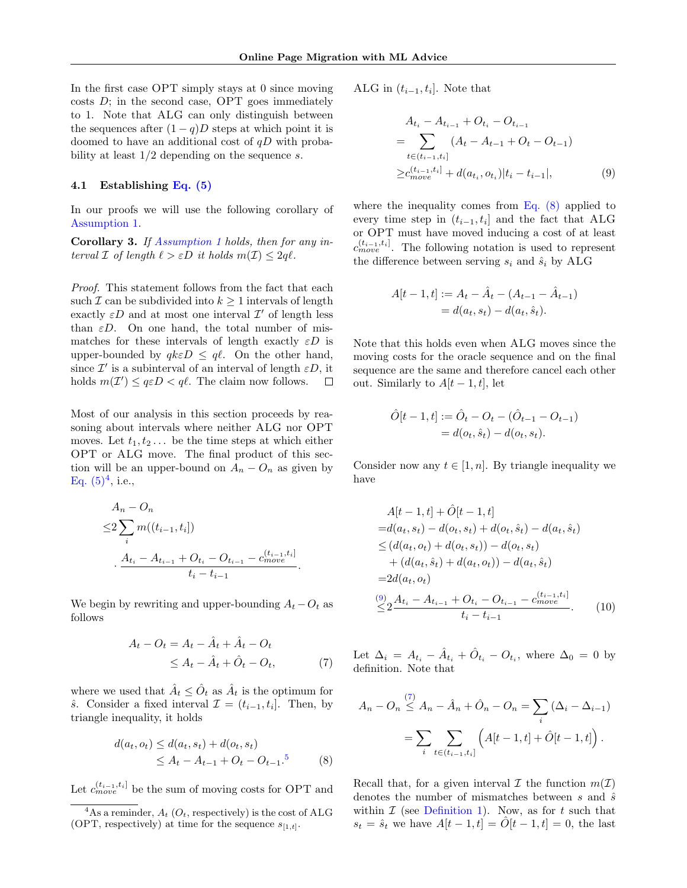In the first case OPT simply stays at 0 since moving  $costs$  D; in the second case, OPT goes immediately to 1. Note that ALG can only distinguish between the sequences after  $(1 - q)D$  steps at which point it is doomed to have an additional cost of  $qD$  with probability at least  $1/2$  depending on the sequence s.

#### <span id="page-5-0"></span>4.1 Establishing [Eq. \(5\)](#page-3-5)

In our proofs we will use the following corollary of [Assumption 1.](#page-2-0)

<span id="page-5-6"></span>Corollary 3. If [Assumption 1](#page-2-0) holds, then for any interval  $\mathcal I$  of length  $\ell > \varepsilon D$  it holds  $m(\mathcal I) \leq 2q\ell$ .

Proof. This statement follows from the fact that each such  $\mathcal I$  can be subdivided into  $k \geq 1$  intervals of length exactly  $\varepsilon D$  and at most one interval  $\mathcal{I}'$  of length less than  $\epsilon D$ . On one hand, the total number of mismatches for these intervals of length exactly  $\varepsilon D$  is upper-bounded by  $qk\epsilon D \leq q\ell$ . On the other hand, since  $\mathcal{I}'$  is a subinterval of an interval of length  $\varepsilon D$ , it holds  $m(\mathcal{I}') \leq q \varepsilon D < q \ell$ . The claim now follows.  $\Box$ 

Most of our analysis in this section proceeds by reasoning about intervals where neither ALG nor OPT moves. Let  $t_1, t_2, \ldots$  be the time steps at which either OPT or ALG move. The final product of this section will be an upper-bound on  $A_n - O_n$  as given by Eq.  $(5)^4$  $(5)^4$ , i.e.,

$$
A_n - O_n
$$
  
\n
$$
\leq 2 \sum_i m((t_{i-1}, t_i])
$$
  
\n
$$
\cdot \frac{A_{t_i} - A_{t_{i-1}} + O_{t_i} - O_{t_{i-1}} - c_{move}^{(t_{i-1}, t_i)}}{t_i - t_{i-1}}.
$$

We begin by rewriting and upper-bounding  $A_t - O_t$  as follows

$$
A_t - O_t = A_t - \hat{A}_t + \hat{A}_t - O_t
$$
  

$$
\leq A_t - \hat{A}_t + \hat{O}_t - O_t,
$$
 (7)

where we used that  $\hat{A}_t \leq \hat{O}_t$  as  $\hat{A}_t$  is the optimum for *s*̂. Consider a fixed interval  $\mathcal{I} = (t_{i-1}, t_i]$ . Then, by triangle inequality, it holds

$$
d(a_t, o_t) \le d(a_t, s_t) + d(o_t, s_t)
$$
  
\n
$$
\le A_t - A_{t-1} + O_t - O_{t-1}.
$$
<sup>5</sup> (8)

Let  $c_{move}^{(t_{i-1}, t_i]}$  be the sum of moving costs for OPT and

ALG in  $(t_{i-1}, t_i]$ . Note that

<span id="page-5-3"></span>
$$
A_{t_i} - A_{t_{i-1}} + O_{t_i} - O_{t_{i-1}}
$$
  
= 
$$
\sum_{t \in (t_{i-1}, t_i]} (A_t - A_{t-1} + O_t - O_{t-1})
$$
  

$$
\geq c_{move}^{(t_{i-1}, t_i]} + d(a_{t_i}, o_{t_i}) |t_i - t_{i-1}|,
$$
 (9)

where the inequality comes from [Eq. \(8\)](#page-5-2) applied to every time step in  $(t_{i-1}, t_i]$  and the fact that ALG or OPT must have moved inducing a cost of at least  $c_{move}^{(t_{i-1},t_i]}$ . The following notation is used to represent the difference between serving  $s_i$  and  $\hat{s}_i$  by ALG

$$
A[t-1,t] := A_t - \hat{A}_t - (A_{t-1} - \hat{A}_{t-1})
$$
  
=  $d(a_t, s_t) - d(a_t, \hat{s}_t).$ 

Note that this holds even when ALG moves since the moving costs for the oracle sequence and on the final sequence are the same and therefore cancel each other out. Similarly to  $A[t-1, t]$ , let

$$
\hat{O}[t-1, t] := \hat{O}_t - O_t - (\hat{O}_{t-1} - O_{t-1})
$$
  
=  $d(o_t, \hat{s}_t) - d(o_t, s_t)$ .

Consider now any  $t \in [1, n]$ . By triangle inequality we have

$$
A[t-1,t] + \hat{O}[t-1,t]
$$
  
= $d(a_t, s_t) - d(o_t, s_t) + d(o_t, \hat{s}_t) - d(a_t, \hat{s}_t)$   
 $\leq (d(a_t, o_t) + d(o_t, s_t)) - d(o_t, s_t)$   
+  $(d(a_t, \hat{s}_t) + d(a_t, o_t)) - d(a_t, \hat{s}_t)$   
= $2d(a_t, o_t)$   
 $\stackrel{(9)}{\leq} \frac{A_{t_i} - A_{t_{i-1}} + O_{t_i} - O_{t_{i-1}} - c_{move}^{(t_{i-1}, t_i)}}{t_i - t_{i-1}}$ . (10)

<span id="page-5-4"></span>Let  $\Delta_i = A_{t_i} - \hat{A}_{t_i} + \hat{O}_{t_i} - O_{t_i}$ , where  $\Delta_0 = 0$  by definition. Note that

<span id="page-5-5"></span> $(7)$ 

$$
A_n - O_n \stackrel{(t)}{\leq} A_n - \hat{A}_n + \hat{O}_n - O_n = \sum_i (\Delta_i - \Delta_{i-1})
$$
  
= 
$$
\sum_i \sum_{t \in (t_{i-1}, t_i]} \left( A[t-1, t] + \hat{O}[t-1, t] \right).
$$

<span id="page-5-2"></span>Recall that, for a given interval  $\mathcal I$  the function  $m(\mathcal I)$ denotes the number of mismatches between s and  $\hat{s}$ within  $\mathcal I$  (see [Definition 1\)](#page-2-3). Now, as for t such that  $s_t = \hat{s}_t$  we have  $A[t-1, t] = \hat{O}[t-1, t] = 0$ , the last

<span id="page-5-1"></span><sup>&</sup>lt;sup>4</sup>As a reminder,  $A_t$  ( $O_t$ , respectively) is the cost of ALG (OPT, respectively) at time for the sequence  $s_{[1,t]}$ .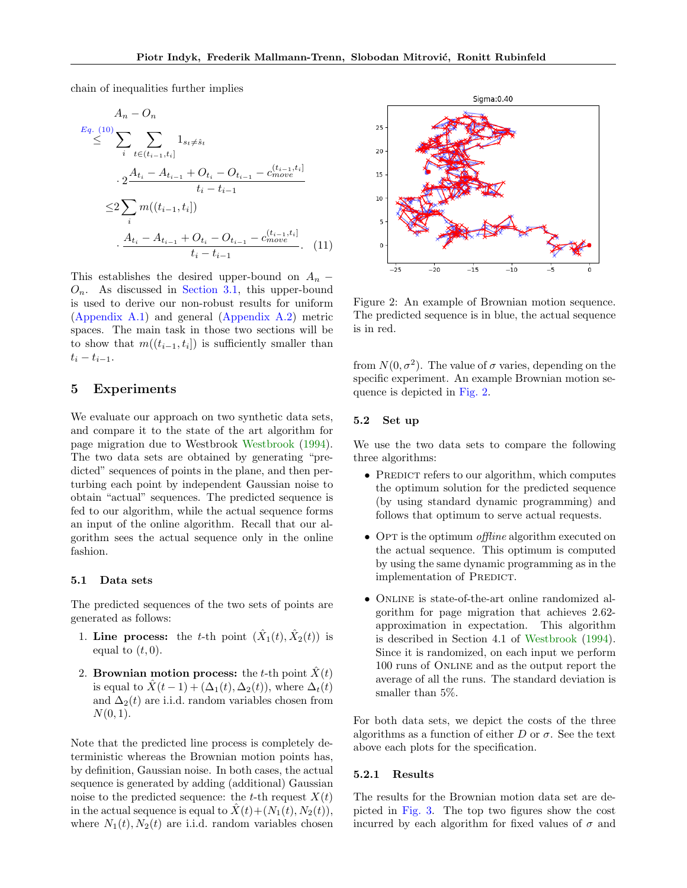chain of inequalities further implies

$$
A_n - O_n
$$
  
\n
$$
\leq \sum_{i} \sum_{t \in (t_{i-1}, t_i]} 1_{s_t \neq \hat{s}_t}
$$
  
\n
$$
\cdot 2 \frac{A_{t_i} - A_{t_{i-1}} + O_{t_i} - O_{t_{i-1}} - c_{move}^{(t_{i-1}, t_i]}}{t_i - t_{i-1}}
$$
  
\n
$$
\leq 2 \sum_{i} m((t_{i-1}, t_i])
$$
  
\n
$$
\cdot \frac{A_{t_i} - A_{t_{i-1}} + O_{t_i} - O_{t_{i-1}} - c_{move}^{(t_{i-1}, t_i]}}{t_i - t_{i-1}}.
$$
 (11)

This establishes the desired upper-bound on  $A_n$  –  $O_n$ . As discussed in [Section 3.1,](#page-2-1) this upper-bound is used to derive our non-robust results for uniform [\(Appendix A.1\)](#page-10-0) and general [\(Appendix A.2\)](#page-11-0) metric spaces. The main task in those two sections will be to show that  $m((t_{i-1}, t_i])$  is sufficiently smaller than  $t_i - t_{i-1}.$ 

# 5 Experiments

We evaluate our approach on two synthetic data sets, and compare it to the state of the art algorithm for page migration due to Westbrook [Westbrook](#page-9-9) [\(1994\)](#page-9-9). The two data sets are obtained by generating "predicted" sequences of points in the plane, and then perturbing each point by independent Gaussian noise to obtain "actual" sequences. The predicted sequence is fed to our algorithm, while the actual sequence forms an input of the online algorithm. Recall that our algorithm sees the actual sequence only in the online fashion.

### 5.1 Data sets

The predicted sequences of the two sets of points are generated as follows:

- 1. Line process: the t-th point  $(\hat{X}_1(t), \hat{X}_2(t))$  is equal to  $(t, 0)$ .
- 2. Brownian motion process: the t-th point  $\hat{X}(t)$ is equal to  $\hat{X}(t-1) + (\Delta_1(t), \Delta_2(t))$ , where  $\Delta_t(t)$ and  $\Delta_2(t)$  are i.i.d. random variables chosen from  $N(0, 1)$ .

Note that the predicted line process is completely deterministic whereas the Brownian motion points has, by definition, Gaussian noise. In both cases, the actual sequence is generated by adding (additional) Gaussian noise to the predicted sequence: the t-th request  $X(t)$ in the actual sequence is equal to  $\ddot{X}(t)+(N_1(t), N_2(t)),$ where  $N_1(t)$ ,  $N_2(t)$  are i.i.d. random variables chosen

<span id="page-6-0"></span>Sigma: 0.40  $25$ 20 15  $10$  $\Omega$  $-25$  $-20$  $-15$  $-10$ 

<span id="page-6-1"></span>Figure 2: An example of Brownian motion sequence. The predicted sequence is in blue, the actual sequence is in red.

from  $N(0, \sigma^2)$ . The value of  $\sigma$  varies, depending on the specific experiment. An example Brownian motion sequence is depicted in [Fig. 2.](#page-6-0)

## 5.2 Set up

We use the two data sets to compare the following three algorithms:

- PREDICT refers to our algorithm, which computes the optimum solution for the predicted sequence (by using standard dynamic programming) and follows that optimum to serve actual requests.
- OPT is the optimum *offline* algorithm executed on the actual sequence. This optimum is computed by using the same dynamic programming as in the implementation of PREDICT.
- Online is state-of-the-art online randomized algorithm for page migration that achieves 2.62 approximation in expectation. This algorithm is described in Section 4.1 of [Westbrook](#page-9-9) [\(1994\)](#page-9-9). Since it is randomized, on each input we perform 100 runs of Online and as the output report the average of all the runs. The standard deviation is smaller than 5%.

For both data sets, we depict the costs of the three algorithms as a function of either D or  $\sigma$ . See the text above each plots for the specification.

#### 5.2.1 Results

The results for the Brownian motion data set are depicted in [Fig. 3.](#page-7-0) The top two figures show the cost incurred by each algorithm for fixed values of  $\sigma$  and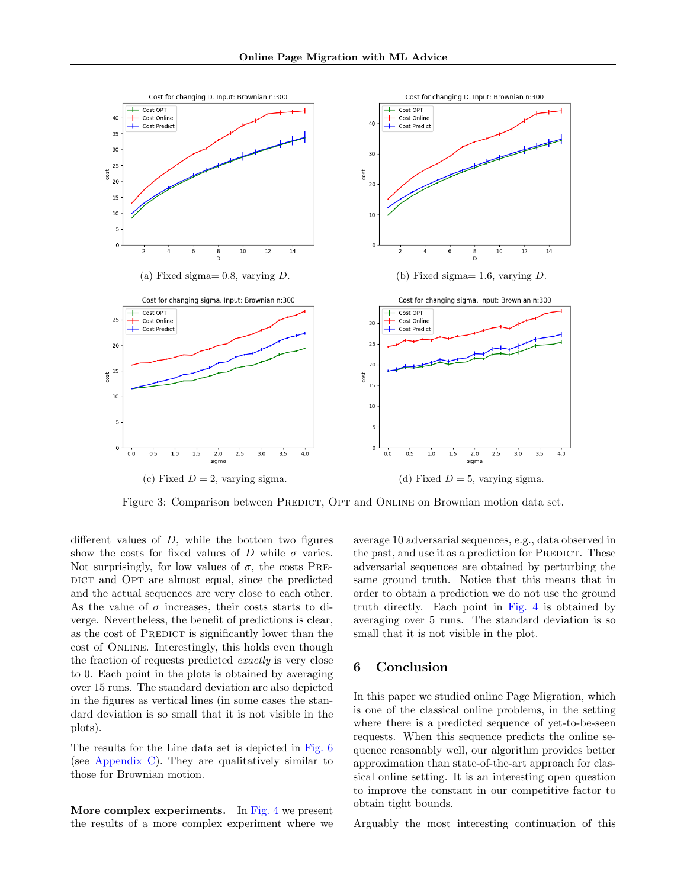<span id="page-7-0"></span>

Figure 3: Comparison between PREDICT, OPT and ONLINE on Brownian motion data set.

different values of  $D$ , while the bottom two figures show the costs for fixed values of D while  $\sigma$  varies. Not surprisingly, for low values of  $\sigma$ , the costs PRE-DICT and OPT are almost equal, since the predicted and the actual sequences are very close to each other. As the value of  $\sigma$  increases, their costs starts to diverge. Nevertheless, the benefit of predictions is clear, as the cost of PREDICT is significantly lower than the cost of Online. Interestingly, this holds even though the fraction of requests predicted exactly is very close to 0. Each point in the plots is obtained by averaging over 15 runs. The standard deviation are also depicted in the figures as vertical lines (in some cases the standard deviation is so small that it is not visible in the plots).

The results for the Line data set is depicted in [Fig. 6](#page-15-0) (see [Appendix C\)](#page-15-1). They are qualitatively similar to those for Brownian motion.

More complex experiments. In [Fig. 4](#page-8-18) we present the results of a more complex experiment where we average 10 adversarial sequences, e.g., data observed in the past, and use it as a prediction for PREDICT. These adversarial sequences are obtained by perturbing the same ground truth. Notice that this means that in order to obtain a prediction we do not use the ground truth directly. Each point in [Fig. 4](#page-8-18) is obtained by averaging over 5 runs. The standard deviation is so small that it is not visible in the plot.

# 6 Conclusion

In this paper we studied online Page Migration, which is one of the classical online problems, in the setting where there is a predicted sequence of yet-to-be-seen requests. When this sequence predicts the online sequence reasonably well, our algorithm provides better approximation than state-of-the-art approach for classical online setting. It is an interesting open question to improve the constant in our competitive factor to obtain tight bounds.

Arguably the most interesting continuation of this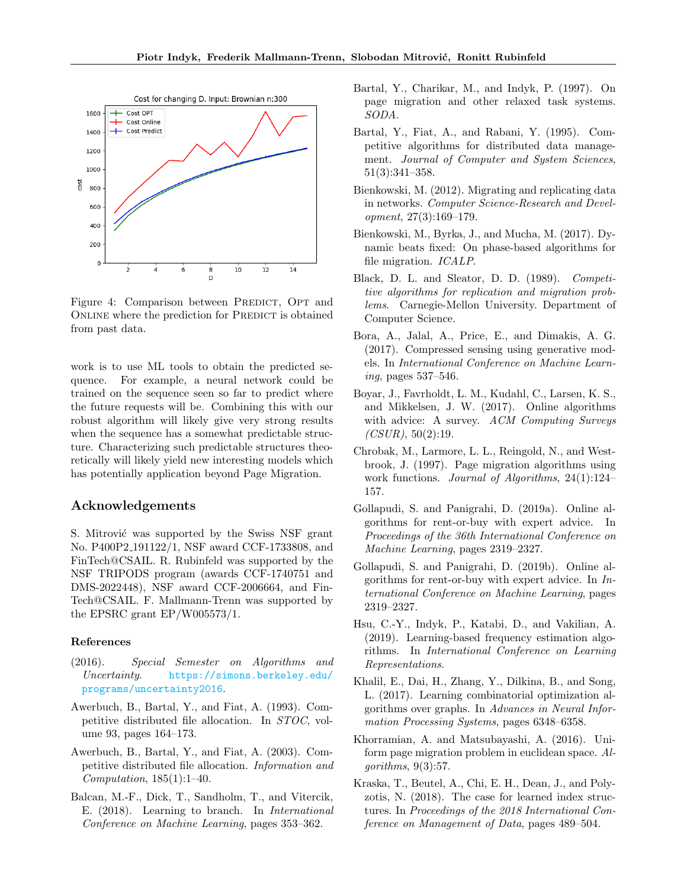<span id="page-8-18"></span>

Figure 4: Comparison between PREDICT, OPT and ONLINE where the prediction for PREDICT is obtained from past data.

work is to use ML tools to obtain the predicted sequence. For example, a neural network could be trained on the sequence seen so far to predict where the future requests will be. Combining this with our robust algorithm will likely give very strong results when the sequence has a somewhat predictable structure. Characterizing such predictable structures theoretically will likely yield new interesting models which has potentially application beyond Page Migration.

# Acknowledgements

S. Mitrović was supported by the Swiss NSF grant No. P400P2 191122/1, NSF award CCF-1733808, and FinTech@CSAIL. R. Rubinfeld was supported by the NSF TRIPODS program (awards CCF-1740751 and DMS-2022448), NSF award CCF-2006664, and Fin-Tech@CSAIL. F. Mallmann-Trenn was supported by the EPSRC grant EP/W005573/1.

### References

- <span id="page-8-16"></span>(2016). Special Semester on Algorithms and Uncertainty. [https://simons.berkeley.edu/](https://simons.berkeley.edu/programs/uncertainty2016) [programs/uncertainty2016](https://simons.berkeley.edu/programs/uncertainty2016).
- <span id="page-8-9"></span>Awerbuch, B., Bartal, Y., and Fiat, A. (1993). Competitive distributed file allocation. In STOC, volume 93, pages 164–173.
- <span id="page-8-15"></span>Awerbuch, B., Bartal, Y., and Fiat, A. (2003). Competitive distributed file allocation. Information and Computation,  $185(1):1-40$ .
- <span id="page-8-3"></span>Balcan, M.-F., Dick, T., Sandholm, T., and Vitercik, E. (2018). Learning to branch. In International Conference on Machine Learning, pages 353–362.
- <span id="page-8-11"></span>Bartal, Y., Charikar, M., and Indyk, P. (1997). On page migration and other relaxed task systems. SODA.
- <span id="page-8-14"></span>Bartal, Y., Fiat, A., and Rabani, Y. (1995). Competitive algorithms for distributed data management. Journal of Computer and System Sciences, 51(3):341–358.
- <span id="page-8-8"></span>Bienkowski, M. (2012). Migrating and replicating data in networks. Computer Science-Research and Development, 27(3):169–179.
- <span id="page-8-13"></span>Bienkowski, M., Byrka, J., and Mucha, M. (2017). Dynamic beats fixed: On phase-based algorithms for file migration. ICALP.
- <span id="page-8-7"></span>Black, D. L. and Sleator, D. D. (1989). Competitive algorithms for replication and migration problems. Carnegie-Mellon University. Department of Computer Science.
- <span id="page-8-4"></span>Bora, A., Jalal, A., Price, E., and Dimakis, A. G. (2017). Compressed sensing using generative models. In International Conference on Machine Learning, pages 537–546.
- <span id="page-8-17"></span>Boyar, J., Favrholdt, L. M., Kudahl, C., Larsen, K. S., and Mikkelsen, J. W. (2017). Online algorithms with advice: A survey. ACM Computing Surveys  $(CSUR)$ , 50(2):19.
- <span id="page-8-10"></span>Chrobak, M., Larmore, L. L., Reingold, N., and Westbrook, J. (1997). Page migration algorithms using work functions. Journal of Algorithms, 24(1):124– 157.
- <span id="page-8-1"></span>Gollapudi, S. and Panigrahi, D. (2019a). Online algorithms for rent-or-buy with expert advice. In Proceedings of the 36th International Conference on Machine Learning, pages 2319–2327.
- <span id="page-8-6"></span>Gollapudi, S. and Panigrahi, D. (2019b). Online algorithms for rent-or-buy with expert advice. In International Conference on Machine Learning, pages 2319–2327.
- <span id="page-8-5"></span>Hsu, C.-Y., Indyk, P., Katabi, D., and Vakilian, A. (2019). Learning-based frequency estimation algorithms. In International Conference on Learning Representations.
- <span id="page-8-2"></span>Khalil, E., Dai, H., Zhang, Y., Dilkina, B., and Song, L. (2017). Learning combinatorial optimization algorithms over graphs. In Advances in Neural Information Processing Systems, pages 6348–6358.
- <span id="page-8-12"></span>Khorramian, A. and Matsubayashi, A. (2016). Uniform page migration problem in euclidean space. Algorithms, 9(3):57.
- <span id="page-8-0"></span>Kraska, T., Beutel, A., Chi, E. H., Dean, J., and Polyzotis, N. (2018). The case for learned index structures. In Proceedings of the 2018 International Conference on Management of Data, pages 489–504.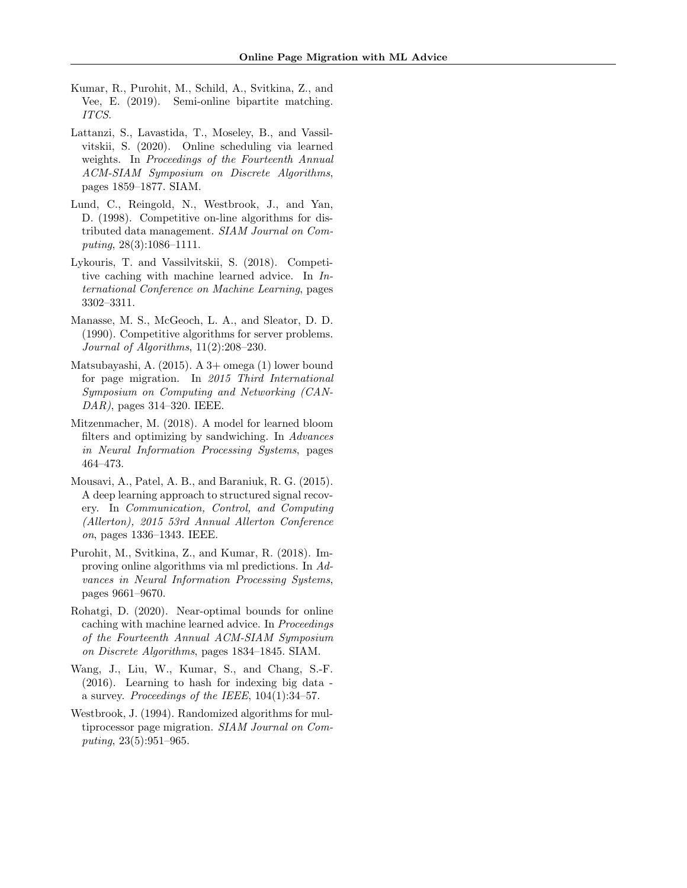- <span id="page-9-7"></span>Kumar, R., Purohit, M., Schild, A., Svitkina, Z., and Vee, E. (2019). Semi-online bipartite matching. ITCS.
- <span id="page-9-6"></span>Lattanzi, S., Lavastida, T., Moseley, B., and Vassilvitskii, S. (2020). Online scheduling via learned weights. In Proceedings of the Fourteenth Annual ACM-SIAM Symposium on Discrete Algorithms, pages 1859–1877. SIAM.
- <span id="page-9-11"></span>Lund, C., Reingold, N., Westbrook, J., and Yan, D. (1998). Competitive on-line algorithms for distributed data management. SIAM Journal on Computing, 28(3):1086–1111.
- <span id="page-9-1"></span>Lykouris, T. and Vassilvitskii, S. (2018). Competitive caching with machine learned advice. In International Conference on Machine Learning, pages 3302–3311.
- <span id="page-9-8"></span>Manasse, M. S., McGeoch, L. A., and Sleator, D. D. (1990). Competitive algorithms for server problems. Journal of Algorithms, 11(2):208–230.
- <span id="page-9-10"></span>Matsubayashi, A. (2015). A 3+ omega (1) lower bound for page migration. In 2015 Third International Symposium on Computing and Networking (CAN-DAR), pages 314–320. IEEE.
- <span id="page-9-0"></span>Mitzenmacher, M. (2018). A model for learned bloom filters and optimizing by sandwiching. In Advances in Neural Information Processing Systems, pages 464–473.
- <span id="page-9-5"></span>Mousavi, A., Patel, A. B., and Baraniuk, R. G. (2015). A deep learning approach to structured signal recovery. In Communication, Control, and Computing (Allerton), 2015 53rd Annual Allerton Conference on, pages 1336–1343. IEEE.
- <span id="page-9-2"></span>Purohit, M., Svitkina, Z., and Kumar, R. (2018). Improving online algorithms via ml predictions. In Advances in Neural Information Processing Systems, pages 9661–9670.
- <span id="page-9-3"></span>Rohatgi, D. (2020). Near-optimal bounds for online caching with machine learned advice. In Proceedings of the Fourteenth Annual ACM-SIAM Symposium on Discrete Algorithms, pages 1834–1845. SIAM.
- <span id="page-9-4"></span>Wang, J., Liu, W., Kumar, S., and Chang, S.-F. (2016). Learning to hash for indexing big data a survey. Proceedings of the IEEE, 104(1):34–57.
- <span id="page-9-9"></span>Westbrook, J. (1994). Randomized algorithms for multiprocessor page migration. SIAM Journal on Computing, 23(5):951–965.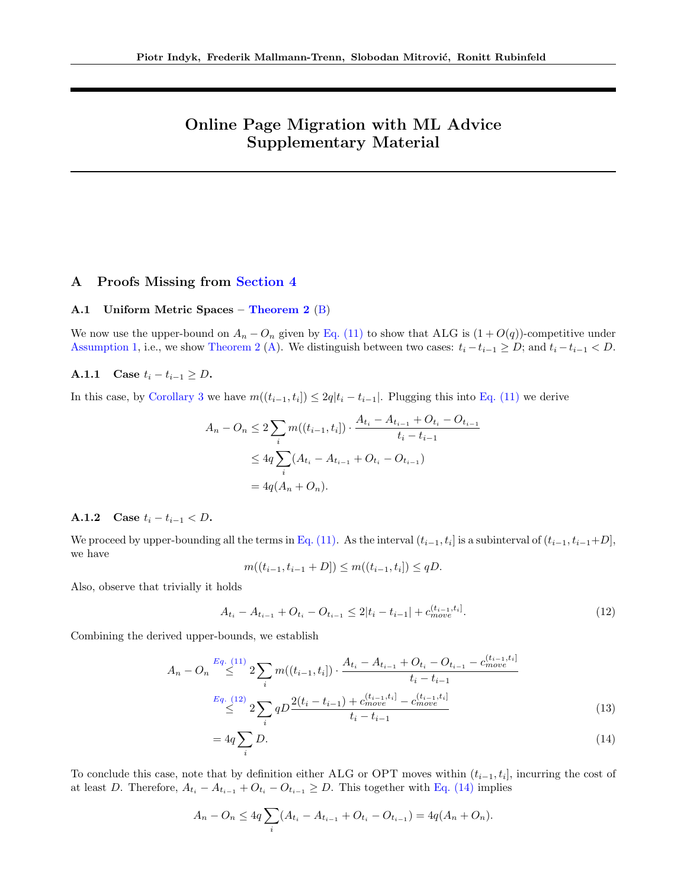# Online Page Migration with ML Advice Supplementary Material

# <span id="page-10-1"></span>A Proofs Missing from [Section 4](#page-4-1)

### <span id="page-10-0"></span>A.1 Uniform Metric Spaces – [Theorem 2](#page-4-0) [\(B\)](#page-4-2)

We now use the upper-bound on  $A_n - O_n$  given by [Eq. \(11\)](#page-6-1) to show that ALG is  $(1 + O(q))$ -competitive under [Assumption 1,](#page-2-0) i.e., we show [Theorem 2](#page-4-0) [\(A\)](#page-4-3). We distinguish between two cases:  $t_i - t_{i-1} \ge D$ ; and  $t_i - t_{i-1} < D$ .

### A.1.1 Case  $t_i - t_{i-1} \ge D$ .

In this case, by [Corollary 3](#page-5-6) we have  $m((t_{i-1}, t_i]) \leq 2q|t_i - t_{i-1}|$ . Plugging this into [Eq. \(11\)](#page-6-1) we derive

$$
A_n - O_n \le 2 \sum_i m((t_{i-1}, t_i]) \cdot \frac{A_{t_i} - A_{t_{i-1}} + O_{t_i} - O_{t_{i-1}}}{t_i - t_{i-1}}
$$
  

$$
\le 4q \sum_i (A_{t_i} - A_{t_{i-1}} + O_{t_i} - O_{t_{i-1}})
$$
  

$$
= 4q(A_n + O_n).
$$

## A.1.2 Case  $t_i - t_{i-1} < D$ .

We proceed by upper-bounding all the terms in [Eq. \(11\).](#page-6-1) As the interval  $(t_{i-1}, t_i]$  is a subinterval of  $(t_{i-1}, t_{i-1}+D]$ , we have

<span id="page-10-3"></span>
$$
m((t_{i-1}, t_{i-1} + D]) \le m((t_{i-1}, t_i]) \le qD.
$$

Also, observe that trivially it holds

<span id="page-10-2"></span>
$$
A_{t_i} - A_{t_{i-1}} + O_{t_i} - O_{t_{i-1}} \le 2|t_i - t_{i-1}| + c_{move}^{(t_{i-1}, t_i]}.
$$
\n
$$
(12)
$$

Combining the derived upper-bounds, we establish

$$
A_n - O_n \stackrel{Eq. (11)}{\leq} 2 \sum_i m((t_{i-1}, t_i]) \cdot \frac{A_{t_i} - A_{t_{i-1}} + O_{t_i} - O_{t_{i-1}} - c_{move}^{(t_{i-1}, t_i]}}{t_i - t_{i-1}}
$$
  

$$
\stackrel{Eq. (12)}{\leq} 2 \sum_i qD \frac{2(t_i - t_{i-1}) + c_{move}^{(t_{i-1}, t_i]} - c_{move}^{(t_{i-1}, t_i]}}{t_i - t_{i-1}}
$$
(13)

$$
=4q\sum_{i}D.\tag{14}
$$

To conclude this case, note that by definition either ALG or OPT moves within  $(t_{i-1}, t_i]$ , incurring the cost of at least D. Therefore,  $A_{t_i} - A_{t_{i-1}} + O_{t_i} - O_{t_{i-1}} \geq D$ . This together with [Eq. \(14\)](#page-10-3) implies

$$
A_n - O_n \le 4q \sum_i (A_{t_i} - A_{t_{i-1}} + O_{t_i} - O_{t_{i-1}}) = 4q(A_n + O_n).
$$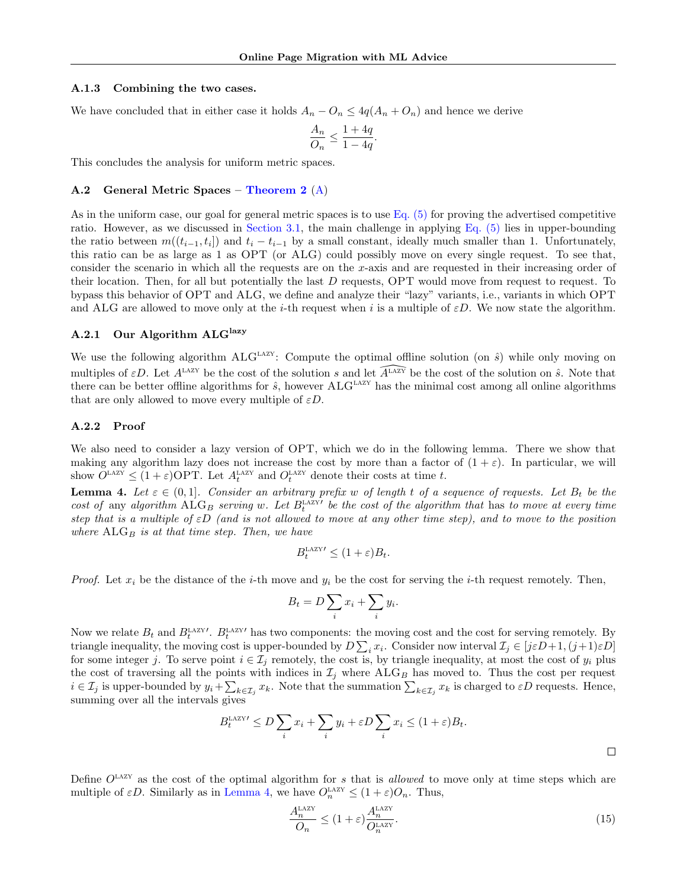#### A.1.3 Combining the two cases.

We have concluded that in either case it holds  $A_n - O_n \leq 4q(A_n + O_n)$  and hence we derive

$$
\frac{A_n}{O_n} \le \frac{1+4q}{1-4q}.
$$

This concludes the analysis for uniform metric spaces.

### <span id="page-11-0"></span>A.2 General Metric Spaces – [Theorem 2](#page-4-0) [\(A\)](#page-4-3)

As in the uniform case, our goal for general metric spaces is to use [Eq. \(5\)](#page-3-5) for proving the advertised competitive ratio. However, as we discussed in [Section 3.1,](#page-2-1) the main challenge in applying [Eq. \(5\)](#page-3-5) lies in upper-bounding the ratio between  $m((t_{i-1}, t_i])$  and  $t_i - t_{i-1}$  by a small constant, ideally much smaller than 1. Unfortunately, this ratio can be as large as 1 as OPT (or ALG) could possibly move on every single request. To see that, consider the scenario in which all the requests are on the x-axis and are requested in their increasing order of their location. Then, for all but potentially the last  $D$  requests, OPT would move from request to request. To bypass this behavior of OPT and ALG, we define and analyze their "lazy" variants, i.e., variants in which OPT and ALG are allowed to move only at the *i*-th request when i is a multiple of  $\varepsilon D$ . We now state the algorithm.

### A.2.1 Our Algorithm  $ALG<sup>lazy</sup>$

We use the following algorithm ALG<sup>LAZY</sup>: Compute the optimal offline solution (on  $\hat{s}$ ) while only moving on multiples of  $\varepsilon D$ . Let  $A^{\text{LAZY}}$  be the cost of the solution s and let  $\widehat{A^{\text{LAZY}}}$  be the cost of the solution on  $\hat{s}$ . Note that there can be better offline algorithms for  $\hat{s}$ , however ALG<sup>LAZY</sup> has the minimal cost among all online algorithms that are only allowed to move every multiple of  $\varepsilon D$ .

### A.2.2 Proof

We also need to consider a lazy version of OPT, which we do in the following lemma. There we show that making any algorithm lazy does not increase the cost by more than a factor of  $(1 + \varepsilon)$ . In particular, we will show  $\widetilde{O}^{\text{LAXY}} \leq (1+\varepsilon) \text{OPT}$ . Let  $A_t^{\text{LAZY}}$  and  $O_t^{\text{LAZY}}$  denote their costs at time t.

<span id="page-11-1"></span>**Lemma 4.** Let  $\varepsilon \in (0,1]$ . Consider an arbitrary prefix w of length t of a sequence of requests. Let  $B_t$  be the cost of any algorithm  $\widehat{\text{ALG}}_B$  serving w. Let  $B_t^{\text{LAZY}}$  be the cost of the algorithm that has to move at every time step that is a multiple of  $\epsilon D$  (and is not allowed to move at any other time step), and to move to the position where  $\text{ALG}_B$  is at that time step. Then, we have

$$
B_t^{\text{LAZY} \prime} \le (1 + \varepsilon) B_t.
$$

*Proof.* Let  $x_i$  be the distance of the *i*-th move and  $y_i$  be the cost for serving the *i*-th request remotely. Then,

$$
B_t = D \sum_i x_i + \sum_i y_i.
$$

Now we relate  $B_t$  and  $B_t^{\text{LAZY}}$ .  $B_t^{\text{LAZY}}$  has two components: the moving cost and the cost for serving remotely. By triangle inequality, the moving cost is upper-bounded by  $D \sum_i x_i$ . Consider now interval  $\mathcal{I}_j \in [j \varepsilon D+1, (j+1) \varepsilon D]$ for some integer j. To serve point  $i \in \mathcal{I}_j$  remotely, the cost is, by triangle inequality, at most the cost of  $y_i$  plus the cost of traversing all the points with indices in  $\mathcal{I}_j$  where  $\mathrm{ALG}_B$  has moved to. Thus the cost per request  $i \in \mathcal{I}_j$  is upper-bounded by  $y_i + \sum_{k \in \mathcal{I}_j} x_k$ . Note that the summation  $\sum_{k \in \mathcal{I}_j} x_k$  is charged to  $\varepsilon D$  requests. Hence, summing over all the intervals gives

$$
B_t^{\text{LAZY}'} \le D \sum_i x_i + \sum_i y_i + \varepsilon D \sum_i x_i \le (1 + \varepsilon) B_t.
$$

Define  $O<sup>LAZY</sup>$  as the cost of the optimal algorithm for s that is *allowed* to move only at time steps which are multiple of  $\varepsilon D$ . Similarly as in [Lemma 4,](#page-11-1) we have  $O_n^{\text{LAZY}} \leq (1+\varepsilon)O_n$ . Thus,

<span id="page-11-2"></span>
$$
\frac{A_n^{\text{LAZY}}}{O_n} \le (1+\varepsilon) \frac{A_n^{\text{LAZY}}}{O_n^{\text{LAZY}}}.\tag{15}
$$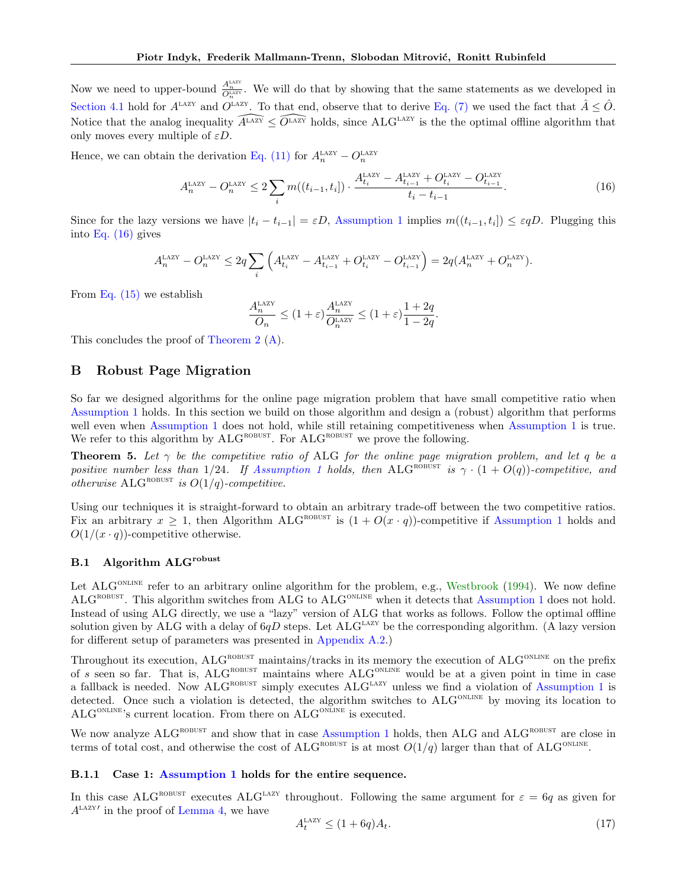Now we need to upper-bound  $\frac{A_n^{\text{bAY}}}{Q_n^{\text{bAY}}}$ . We will do that by showing that the same statements as we developed in [Section 4.1](#page-5-0) hold for  $A^{LAZY}$  and  $O^{LAZY}$ . To that end, observe that to derive [Eq. \(7\)](#page-5-4) we used the fact that  $\hat{A} \leq \hat{O}$ . Notice that the analog inequality  $\widehat{A^{\text{LAZY}}} \leq \widehat{O^{\text{LAZY}}}$  holds, since ALG<sup>LAZY</sup> is the the optimal offline algorithm that only moves every multiple of  $\varepsilon D$ .

Hence, we can obtain the derivation [Eq. \(11\)](#page-6-1) for  $A_n^{\text{LAZY}} - O_n^{\text{LAZY}}$ 

$$
A_n^{\text{LAZY}} - O_n^{\text{LAZY}} \le 2 \sum_i m((t_{i-1}, t_i]) \cdot \frac{A_{t_i}^{\text{LAZY}} - A_{t_{i-1}}^{\text{LAZY}} + O_{t_i}^{\text{LAZY}} - O_{t_{i-1}}^{\text{LAZY}}{t_i - t_{i-1}}.
$$
 (16)

Since for the lazy versions we have  $|t_i - t_{i-1}| = \varepsilon D$ , [Assumption 1](#page-2-0) implies  $m((t_{i-1}, t_i]) \leq \varepsilon qD$ . Plugging this into [Eq. \(16\)](#page-12-1) gives

$$
A_n^{\rm LAZY}-O_n^{\rm LAZY}\leq 2q\sum_i\left(A_{t_i}^{\rm LAZY}-A_{t_{i-1}}^{\rm LAZY}+O_{t_i}^{\rm LAZY}-O_{t_{i-1}}^{\rm LAZY}\right)=2q(A_n^{\rm LAZY}+O_n^{\rm LAZY}).
$$

From [Eq. \(15\)](#page-11-2) we establish

<span id="page-12-1"></span>
$$
\frac{A_n^{\rm LAZY}}{O_n} \leq (1+\varepsilon) \frac{A_n^{\rm LAZY}}{O_n^{\rm LAZY}} \leq (1+\varepsilon) \frac{1+2q}{1-2q}.
$$

This concludes the proof of [Theorem 2](#page-4-0) [\(A\)](#page-4-3).

# <span id="page-12-0"></span>B Robust Page Migration

So far we designed algorithms for the online page migration problem that have small competitive ratio when [Assumption 1](#page-2-0) holds. In this section we build on those algorithm and design a (robust) algorithm that performs well even when [Assumption 1](#page-2-0) does not hold, while still retaining competitiveness when [Assumption 1](#page-2-0) is true. We refer to this algorithm by  $ALG^{ROBUST}$ . For  $ALG^{ROBUST}$  we prove the following.

**Theorem 5.** Let  $\gamma$  be the competitive ratio of ALG for the online page migration problem, and let q be a positive number less than 1/24. If [Assumption 1](#page-2-0) holds, then ALG<sup>ROBUST</sup> is  $\gamma \cdot (1 + O(q))$ -competitive, and otherwise  $\text{ALG}^{\text{ROBUST}}$  is  $O(1/q)$ -competitive.

Using our techniques it is straight-forward to obtain an arbitrary trade-off between the two competitive ratios. Fix an arbitrary  $x \ge 1$ , then Algorithm ALG<sup>ROBUST</sup> is  $(1 + O(x \cdot q))$ -competitive if [Assumption 1](#page-2-0) holds and  $O(1/(x \cdot q))$ -competitive otherwise.

## B.1 Algorithm ALGrobust

Let ALG<sup>ONLINE</sup> refer to an arbitrary online algorithm for the problem, e.g., [Westbrook](#page-9-9) [\(1994\)](#page-9-9). We now define ALG<sup>ROBUST</sup>. This algorithm switches from ALG to ALG<sup>ONLINE</sup> when it detects that [Assumption 1](#page-2-0) does not hold. Instead of using ALG directly, we use a "lazy" version of ALG that works as follows. Follow the optimal offline solution given by ALG with a delay of  $6qD$  steps. Let  $ALG<sup>LAZY</sup>$  be the corresponding algorithm. (A lazy version for different setup of parameters was presented in [Appendix A.2.](#page-11-0))

Throughout its execution,  $ALG^{ROBUST}$  maintains/tracks in its memory the execution of  $ALG^{ONLINE}$  on the prefix of s seen so far. That is,  $ALG^{ROBUST}$  maintains where  $ALG^{OLINE}$  would be at a given point in time in case a fallback is needed. Now  $ALG^{ROBUST}$  simply executes  $ALG^{LAZY}$  unless we find a violation of [Assumption 1](#page-2-0) is detected. Once such a violation is detected, the algorithm switches to  $ALG^{ONLINE}$  by moving its location to  $ALG^{ONLINE}$ 's current location. From there on  $ALG^{ONLINE}$  is executed.

We now analyze ALG<sup>ROBUST</sup> and show that in case [Assumption 1](#page-2-0) holds, then ALG and ALG<sup>ROBUST</sup> are close in terms of total cost, and otherwise the cost of ALG<sup>ROBUST</sup> is at most  $O(1/q)$  larger than that of ALG<sup>ONLINE</sup>.

### B.1.1 Case 1: [Assumption 1](#page-2-0) holds for the entire sequence.

In this case ALG<sup>ROBUST</sup> executes ALG<sup>LAZY</sup> throughout. Following the same argument for  $\varepsilon = 6q$  as given for  $A^{\text{LAZY}'}$  in the proof of [Lemma 4,](#page-11-1) we have

<span id="page-12-2"></span>
$$
A_t^{\text{LAZY}} \le (1 + 6q)A_t. \tag{17}
$$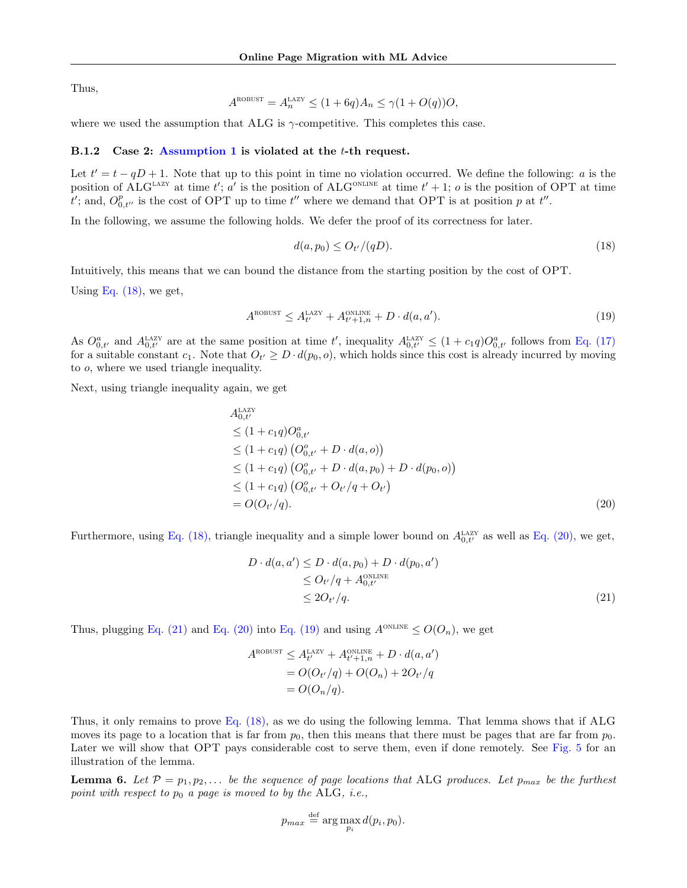Thus,

$$
A^{\text{ROBUST}} = A_n^{\text{LAZY}} \le (1 + 6q)A_n \le \gamma(1 + O(q))O,
$$

where we used the assumption that ALG is  $\gamma$ -competitive. This completes this case.

# B.1.2 Case 2: [Assumption 1](#page-2-0) is violated at the t-th request.

Let  $t' = t - qD + 1$ . Note that up to this point in time no violation occurred. We define the following: a is the position of ALG<sup>LAZY</sup> at time t'; a' is the position of ALG<sup>ONLINE</sup> at time  $t' + 1$ ; o is the position of OPT at time  $\overline{t}$ ; and,  $O_{0,t''}^p$  is the cost of OPT up to time  $t''$  where we demand that OPT is at position p at  $t''$ .

In the following, we assume the following holds. We defer the proof of its correctness for later.

<span id="page-13-3"></span><span id="page-13-0"></span>
$$
d(a, p_0) \le O_{t'}/(qD). \tag{18}
$$

Intuitively, this means that we can bound the distance from the starting position by the cost of OPT.

Using Eq.  $(18)$ , we get,

$$
A^{\text{ROBUST}} \le A^{\text{LAY}}_{t'} + A^{\text{ONLINE}}_{t'+1,n} + D \cdot d(a, a'). \tag{19}
$$

As  $O_{0,t'}^a$  and  $A_{0,t'}^{\text{LAZY}}$  are at the same position at time t', inequality  $A_{0,t'}^{\text{LAZY}} \leq (1+c_1q)O_{0,t'}^a$  follows from [Eq. \(17\)](#page-12-2) for a suitable constant  $c_1$ . Note that  $O_{t'} \geq D \cdot d(p_0, o)$ , which holds since this cost is already incurred by moving to o, where we used triangle inequality.

Next, using triangle inequality again, we get

$$
A_{0,t'}^{\text{Lazy}}\n\leq (1 + c_1 q)O_{0,t'}^a\n\leq (1 + c_1 q) (O_{0,t'}^a + D \cdot d(a, o))\n\leq (1 + c_1 q) (O_{0,t'}^o + D \cdot d(a, p_0) + D \cdot d(p_0, o))\n\leq (1 + c_1 q) (O_{0,t'}^o + O_{t'} / q + O_{t'})\n= O(O_{t'}/q).
$$
\n(20)

Furthermore, using [Eq. \(18\),](#page-13-0) triangle inequality and a simple lower bound on  $A_{0,t'}^{\text{LAZY}}$  as well as [Eq. \(20\),](#page-13-1) we get,

<span id="page-13-2"></span><span id="page-13-1"></span>
$$
D \cdot d(a, a') \le D \cdot d(a, p_0) + D \cdot d(p_0, a')
$$
  
\n
$$
\le O_{t'}/q + A_{0,t'}^{\text{ONLINE}}
$$
  
\n
$$
\le 2O_{t'}/q.
$$
\n(21)

Thus, plugging [Eq. \(21\)](#page-13-2) and [Eq. \(20\)](#page-13-1) into [Eq. \(19\)](#page-13-3) and using  $A^{ONLINE} \leq O(O_n)$ , we get

$$
A^{\text{ROBUST}} \leq A^{\text{LAZY}}_{t'} + A^{\text{ONLINE}}_{t'+1,n} + D \cdot d(a, a')
$$
  
= 
$$
O(O_{t'}/q) + O(O_n) + 2O_{t'}/q
$$
  
= 
$$
O(O_n/q).
$$

Thus, it only remains to prove [Eq. \(18\),](#page-13-0) as we do using the following lemma. That lemma shows that if ALG moves its page to a location that is far from  $p_0$ , then this means that there must be pages that are far from  $p_0$ . Later we will show that OPT pays considerable cost to serve them, even if done remotely. See [Fig. 5](#page-14-0) for an illustration of the lemma.

<span id="page-13-4"></span>**Lemma 6.** Let  $\mathcal{P} = p_1, p_2, \ldots$  be the sequence of page locations that ALG produces. Let  $p_{max}$  be the furthest point with respect to  $p_0$  a page is moved to by the ALG, i.e.,

$$
p_{max} \stackrel{\text{def}}{=} \arg \max_{p_i} d(p_i, p_0).
$$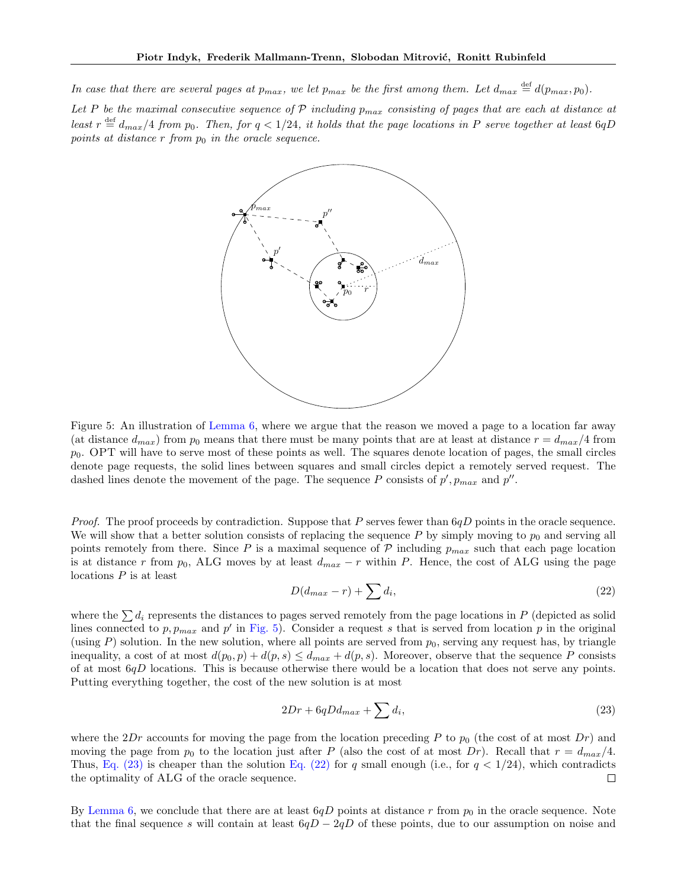In case that there are several pages at  $p_{max}$ , we let  $p_{max}$  be the first among them. Let  $d_{max} \stackrel{\text{def}}{=} d(p_{max}, p_0)$ .

<span id="page-14-0"></span>Let P be the maximal consecutive sequence of P including  $p_{max}$  consisting of pages that are each at distance at least  $r \stackrel{\text{def}}{=} d_{max}/4$  from  $p_0$ . Then, for  $q < 1/24$ , it holds that the page locations in P serve together at least 6qD points at distance  $r$  from  $p_0$  in the oracle sequence.



Figure 5: An illustration of [Lemma 6,](#page-13-4) where we argue that the reason we moved a page to a location far away (at distance  $d_{max}$ ) from  $p_0$  means that there must be many points that are at least at distance  $r = d_{max}/4$  from  $p<sub>0</sub>$ . OPT will have to serve most of these points as well. The squares denote location of pages, the small circles denote page requests, the solid lines between squares and small circles depict a remotely served request. The dashed lines denote the movement of the page. The sequence P consists of  $p', p_{max}$  and  $p''$ .

*Proof.* The proof proceeds by contradiction. Suppose that  $P$  serves fewer than  $6qD$  points in the oracle sequence. We will show that a better solution consists of replacing the sequence  $P$  by simply moving to  $p_0$  and serving all points remotely from there. Since P is a maximal sequence of  $P$  including  $p_{max}$  such that each page location is at distance r from  $p_0$ , ALG moves by at least  $d_{max} - r$  within P. Hence, the cost of ALG using the page locations P is at least

<span id="page-14-2"></span>
$$
D(d_{max} - r) + \sum d_i,\tag{22}
$$

where the  $\sum d_i$  represents the distances to pages served remotely from the page locations in P (depicted as solid lines connected to  $p, p_{max}$  and  $p'$  in [Fig. 5\)](#page-14-0). Consider a request s that is served from location p in the original (using P) solution. In the new solution, where all points are served from  $p_0$ , serving any request has, by triangle inequality, a cost of at most  $d(p_0, p) + d(p, s) \leq d_{max} + d(p, s)$ . Moreover, observe that the sequence P consists of at most  $6qD$  locations. This is because otherwise there would be a location that does not serve any points. Putting everything together, the cost of the new solution is at most

<span id="page-14-1"></span>
$$
2Dr + 6qDd_{max} + \sum d_i,\tag{23}
$$

where the 2Dr accounts for moving the page from the location preceding P to  $p_0$  (the cost of at most Dr) and moving the page from  $p_0$  to the location just after P (also the cost of at most Dr). Recall that  $r = d_{max}/4$ . Thus, [Eq. \(23\)](#page-14-1) is cheaper than the solution [Eq. \(22\)](#page-14-2) for q small enough (i.e., for  $q < 1/24$ ), which contradicts the optimality of ALG of the oracle sequence.  $\Box$ 

By [Lemma 6,](#page-13-4) we conclude that there are at least  $6qD$  points at distance r from  $p_0$  in the oracle sequence. Note that the final sequence s will contain at least  $6qD - 2qD$  of these points, due to our assumption on noise and